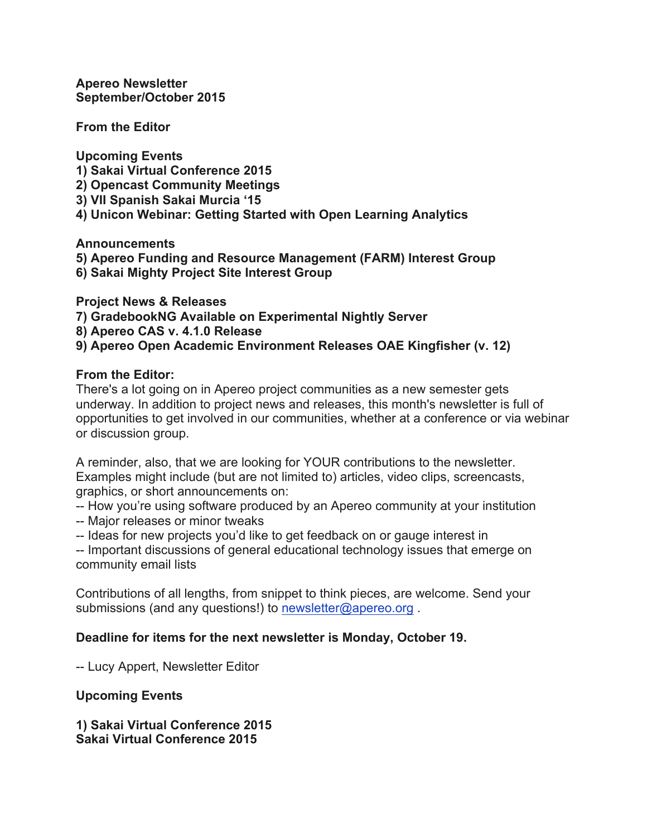**Apereo Newsletter September/October 2015**

**From the Editor**

**Upcoming Events 1) Sakai Virtual Conference 2015 2) Opencast Community Meetings 3) VII Spanish Sakai Murcia '15 4) Unicon Webinar: Getting Started with Open Learning Analytics**

**Announcements**

**5) Apereo Funding and Resource Management (FARM) Interest Group**

**6) Sakai Mighty Project Site Interest Group**

**Project News & Releases**

**7) GradebookNG Available on Experimental Nightly Server**

**8) Apereo CAS v. 4.1.0 Release**

**9) Apereo Open Academic Environment Releases OAE Kingfisher (v. 12)**

### **From the Editor:**

There's a lot going on in Apereo project communities as a new semester gets underway. In addition to project news and releases, this month's newsletter is full of opportunities to get involved in our communities, whether at a conference or via webinar or discussion group.

A reminder, also, that we are looking for YOUR contributions to the newsletter. Examples might include (but are not limited to) articles, video clips, screencasts, graphics, or short announcements on:

-- How you're using software produced by an Apereo community at your institution

- -- Major releases or minor tweaks
- -- Ideas for new projects you'd like to get feedback on or gauge interest in

-- Important discussions of general educational technology issues that emerge on community email lists

Contributions of all lengths, from snippet to think pieces, are welcome. Send your submissions (and any questions!) to newsletter@apereo.org.

### **Deadline for items for the next newsletter is Monday, October 19.**

-- Lucy Appert, Newsletter Editor

**Upcoming Events**

**1) Sakai Virtual Conference 2015 Sakai Virtual Conference 2015**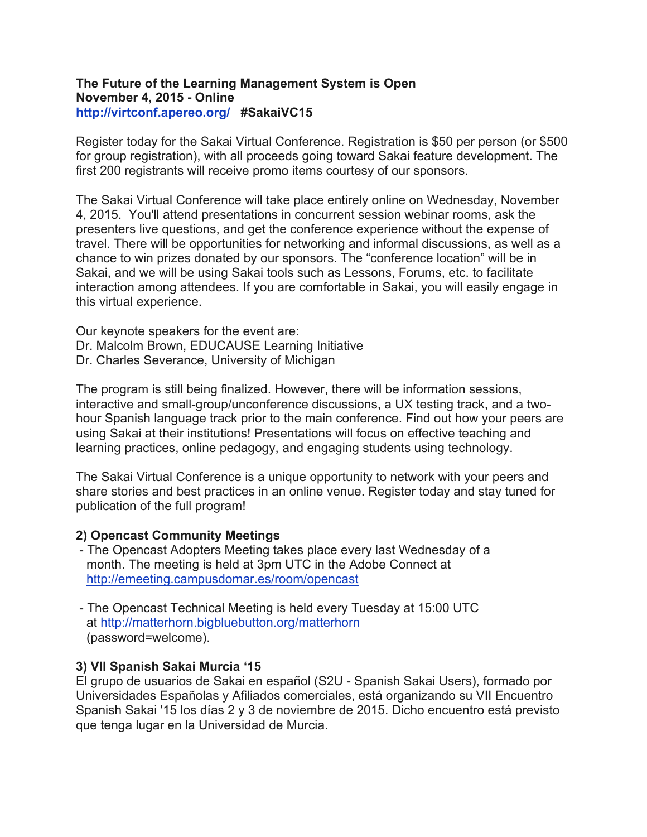### **The Future of the Learning Management System is Open November 4, 2015 - Online http://virtconf.apereo.org/ #SakaiVC15**

Register today for the Sakai Virtual Conference. Registration is \$50 per person (or \$500 for group registration), with all proceeds going toward Sakai feature development. The first 200 registrants will receive promo items courtesy of our sponsors.

The Sakai Virtual Conference will take place entirely online on Wednesday, November 4, 2015. You'll attend presentations in concurrent session webinar rooms, ask the presenters live questions, and get the conference experience without the expense of travel. There will be opportunities for networking and informal discussions, as well as a chance to win prizes donated by our sponsors. The "conference location" will be in Sakai, and we will be using Sakai tools such as Lessons, Forums, etc. to facilitate interaction among attendees. If you are comfortable in Sakai, you will easily engage in this virtual experience.

Our keynote speakers for the event are: Dr. Malcolm Brown, EDUCAUSE Learning Initiative Dr. Charles Severance, University of Michigan

The program is still being finalized. However, there will be information sessions, interactive and small-group/unconference discussions, a UX testing track, and a twohour Spanish language track prior to the main conference. Find out how your peers are using Sakai at their institutions! Presentations will focus on effective teaching and learning practices, online pedagogy, and engaging students using technology.

The Sakai Virtual Conference is a unique opportunity to network with your peers and share stories and best practices in an online venue. Register today and stay tuned for publication of the full program!

### **2) Opencast Community Meetings**

- The Opencast Adopters Meeting takes place every last Wednesday of a month. The meeting is held at 3pm UTC in the Adobe Connect at http://emeeting.campusdomar.es/room/opencast
- The Opencast Technical Meeting is held every Tuesday at 15:00 UTC at http://matterhorn.bigbluebutton.org/matterhorn (password=welcome).

## **3) VII Spanish Sakai Murcia '15**

El grupo de usuarios de Sakai en español (S2U - Spanish Sakai Users), formado por Universidades Españolas y Afiliados comerciales, está organizando su VII Encuentro Spanish Sakai '15 los días 2 y 3 de noviembre de 2015. Dicho encuentro está previsto que tenga lugar en la Universidad de Murcia.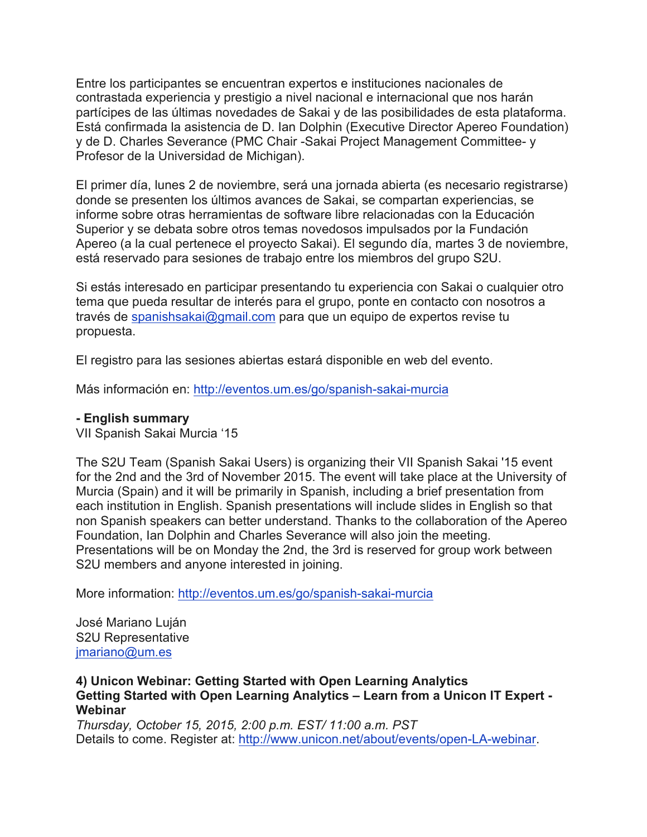Entre los participantes se encuentran expertos e instituciones nacionales de contrastada experiencia y prestigio a nivel nacional e internacional que nos harán partícipes de las últimas novedades de Sakai y de las posibilidades de esta plataforma. Está confirmada la asistencia de D. Ian Dolphin (Executive Director Apereo Foundation) y de D. Charles Severance (PMC Chair -Sakai Project Management Committee- y Profesor de la Universidad de Michigan).

El primer día, lunes 2 de noviembre, será una jornada abierta (es necesario registrarse) donde se presenten los últimos avances de Sakai, se compartan experiencias, se informe sobre otras herramientas de software libre relacionadas con la Educación Superior y se debata sobre otros temas novedosos impulsados por la Fundación Apereo (a la cual pertenece el proyecto Sakai). El segundo día, martes 3 de noviembre, está reservado para sesiones de trabajo entre los miembros del grupo S2U.

Si estás interesado en participar presentando tu experiencia con Sakai o cualquier otro tema que pueda resultar de interés para el grupo, ponte en contacto con nosotros a través de spanishsakai@gmail.com para que un equipo de expertos revise tu propuesta.

El registro para las sesiones abiertas estará disponible en web del evento.

Más información en: http://eventos.um.es/go/spanish-sakai-murcia

#### **- English summary**

VII Spanish Sakai Murcia '15

The S2U Team (Spanish Sakai Users) is organizing their VII Spanish Sakai '15 event for the 2nd and the 3rd of November 2015. The event will take place at the University of Murcia (Spain) and it will be primarily in Spanish, including a brief presentation from each institution in English. Spanish presentations will include slides in English so that non Spanish speakers can better understand. Thanks to the collaboration of the Apereo Foundation, Ian Dolphin and Charles Severance will also join the meeting. Presentations will be on Monday the 2nd, the 3rd is reserved for group work between S2U members and anyone interested in joining.

More information: http://eventos.um.es/go/spanish-sakai-murcia

José Mariano Luján S2U Representative jmariano@um.es

**4) Unicon Webinar: Getting Started with Open Learning Analytics Getting Started with Open Learning Analytics – Learn from a Unicon IT Expert - Webinar**

*Thursday, October 15, 2015, 2:00 p.m. EST/ 11:00 a.m. PST* Details to come. Register at: http://www.unicon.net/about/events/open-LA-webinar.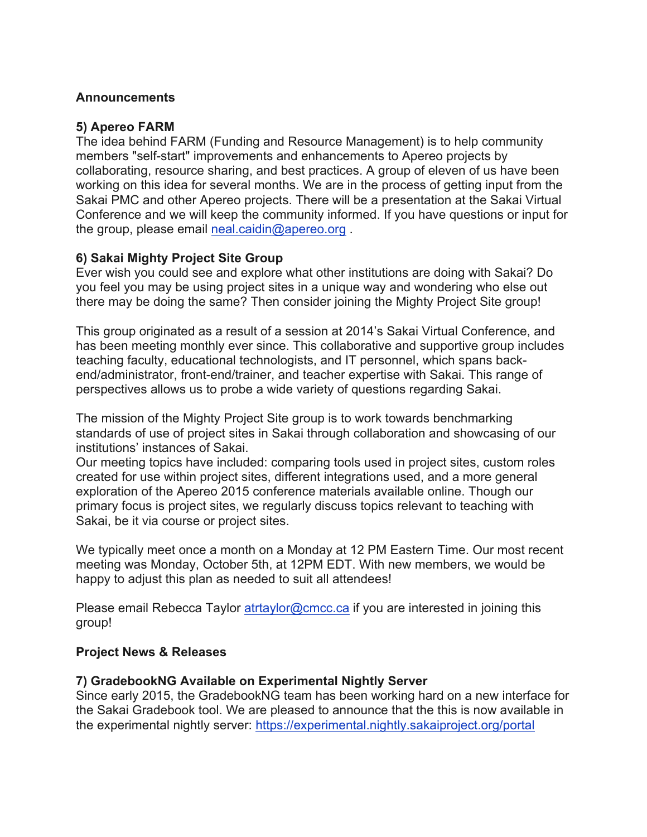### **Announcements**

### **5) Apereo FARM**

The idea behind FARM (Funding and Resource Management) is to help community members "self-start" improvements and enhancements to Apereo projects by collaborating, resource sharing, and best practices. A group of eleven of us have been working on this idea for several months. We are in the process of getting input from the Sakai PMC and other Apereo projects. There will be a presentation at the Sakai Virtual Conference and we will keep the community informed. If you have questions or input for the group, please email neal.caidin@apereo.org .

## **6) Sakai Mighty Project Site Group**

Ever wish you could see and explore what other institutions are doing with Sakai? Do you feel you may be using project sites in a unique way and wondering who else out there may be doing the same? Then consider joining the Mighty Project Site group!

This group originated as a result of a session at 2014's Sakai Virtual Conference, and has been meeting monthly ever since. This collaborative and supportive group includes teaching faculty, educational technologists, and IT personnel, which spans backend/administrator, front-end/trainer, and teacher expertise with Sakai. This range of perspectives allows us to probe a wide variety of questions regarding Sakai.

The mission of the Mighty Project Site group is to work towards benchmarking standards of use of project sites in Sakai through collaboration and showcasing of our institutions' instances of Sakai.

Our meeting topics have included: comparing tools used in project sites, custom roles created for use within project sites, different integrations used, and a more general exploration of the Apereo 2015 conference materials available online. Though our primary focus is project sites, we regularly discuss topics relevant to teaching with Sakai, be it via course or project sites.

We typically meet once a month on a Monday at 12 PM Eastern Time. Our most recent meeting was Monday, October 5th, at 12PM EDT. With new members, we would be happy to adjust this plan as needed to suit all attendees!

Please email Rebecca Taylor atrtaylor@cmcc.ca if you are interested in joining this group!

### **Project News & Releases**

### **7) GradebookNG Available on Experimental Nightly Server**

Since early 2015, the GradebookNG team has been working hard on a new interface for the Sakai Gradebook tool. We are pleased to announce that the this is now available in the experimental nightly server: https://experimental.nightly.sakaiproject.org/portal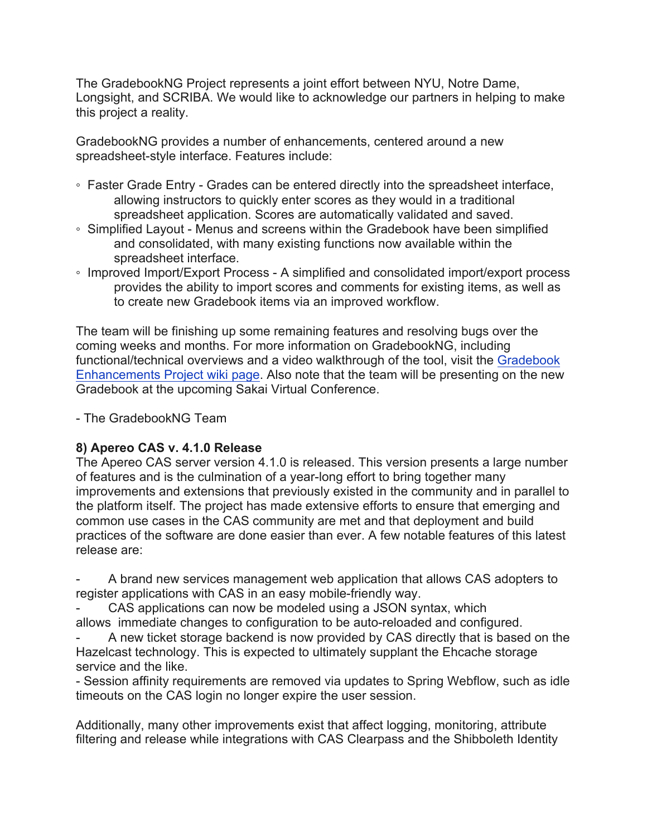The GradebookNG Project represents a joint effort between NYU, Notre Dame, Longsight, and SCRIBA. We would like to acknowledge our partners in helping to make this project a reality.

GradebookNG provides a number of enhancements, centered around a new spreadsheet-style interface. Features include:

- Faster Grade Entry Grades can be entered directly into the spreadsheet interface, allowing instructors to quickly enter scores as they would in a traditional spreadsheet application. Scores are automatically validated and saved.
- Simplified Layout Menus and screens within the Gradebook have been simplified and consolidated, with many existing functions now available within the spreadsheet interface.
- Improved Import/Export Process A simplified and consolidated import/export process provides the ability to import scores and comments for existing items, as well as to create new Gradebook items via an improved workflow.

The team will be finishing up some remaining features and resolving bugs over the coming weeks and months. For more information on GradebookNG, including functional/technical overviews and a video walkthrough of the tool, visit the Gradebook Enhancements Project wiki page. Also note that the team will be presenting on the new Gradebook at the upcoming Sakai Virtual Conference.

- The GradebookNG Team

## **8) Apereo CAS v. 4.1.0 Release**

The Apereo CAS server version 4.1.0 is released. This version presents a large number of features and is the culmination of a year-long effort to bring together many improvements and extensions that previously existed in the community and in parallel to the platform itself. The project has made extensive efforts to ensure that emerging and common use cases in the CAS community are met and that deployment and build practices of the software are done easier than ever. A few notable features of this latest release are:

- A brand new services management web application that allows CAS adopters to register applications with CAS in an easy mobile-friendly way.

CAS applications can now be modeled using a JSON syntax, which allows immediate changes to configuration to be auto-reloaded and configured.

A new ticket storage backend is now provided by CAS directly that is based on the Hazelcast technology. This is expected to ultimately supplant the Ehcache storage service and the like.

- Session affinity requirements are removed via updates to Spring Webflow, such as idle timeouts on the CAS login no longer expire the user session.

Additionally, many other improvements exist that affect logging, monitoring, attribute filtering and release while integrations with CAS Clearpass and the Shibboleth Identity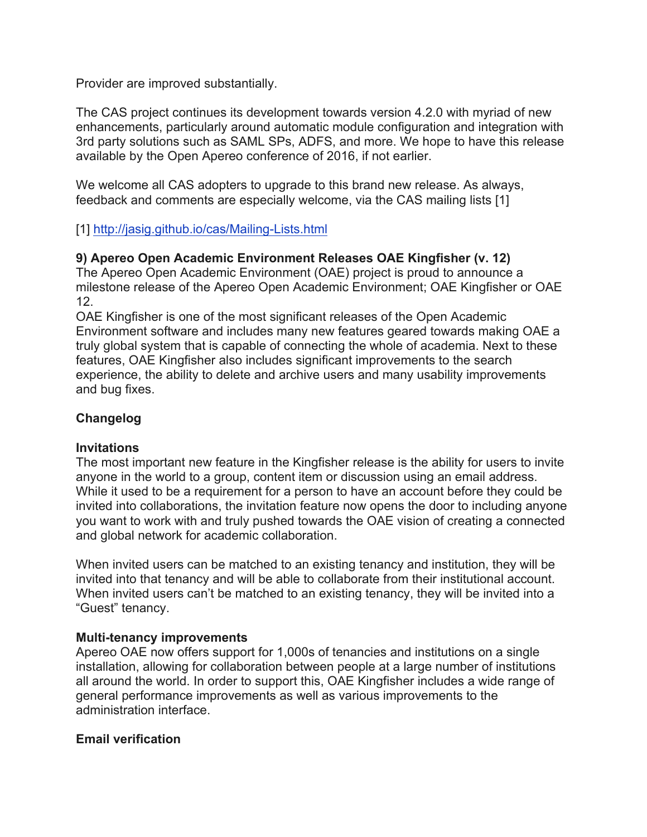Provider are improved substantially.

The CAS project continues its development towards version 4.2.0 with myriad of new enhancements, particularly around automatic module configuration and integration with 3rd party solutions such as SAML SPs, ADFS, and more. We hope to have this release available by the Open Apereo conference of 2016, if not earlier.

We welcome all CAS adopters to upgrade to this brand new release. As always, feedback and comments are especially welcome, via the CAS mailing lists [1]

[1] http://jasig.github.io/cas/Mailing-Lists.html

# **9) Apereo Open Academic Environment Releases OAE Kingfisher (v. 12)**

The Apereo Open Academic Environment (OAE) project is proud to announce a milestone release of the Apereo Open Academic Environment; OAE Kingfisher or OAE 12.

OAE Kingfisher is one of the most significant releases of the Open Academic Environment software and includes many new features geared towards making OAE a truly global system that is capable of connecting the whole of academia. Next to these features, OAE Kingfisher also includes significant improvements to the search experience, the ability to delete and archive users and many usability improvements and bug fixes.

# **Changelog**

## **Invitations**

The most important new feature in the Kingfisher release is the ability for users to invite anyone in the world to a group, content item or discussion using an email address. While it used to be a requirement for a person to have an account before they could be invited into collaborations, the invitation feature now opens the door to including anyone you want to work with and truly pushed towards the OAE vision of creating a connected and global network for academic collaboration.

When invited users can be matched to an existing tenancy and institution, they will be invited into that tenancy and will be able to collaborate from their institutional account. When invited users can't be matched to an existing tenancy, they will be invited into a "Guest" tenancy.

## **Multi-tenancy improvements**

Apereo OAE now offers support for 1,000s of tenancies and institutions on a single installation, allowing for collaboration between people at a large number of institutions all around the world. In order to support this, OAE Kingfisher includes a wide range of general performance improvements as well as various improvements to the administration interface.

## **Email verification**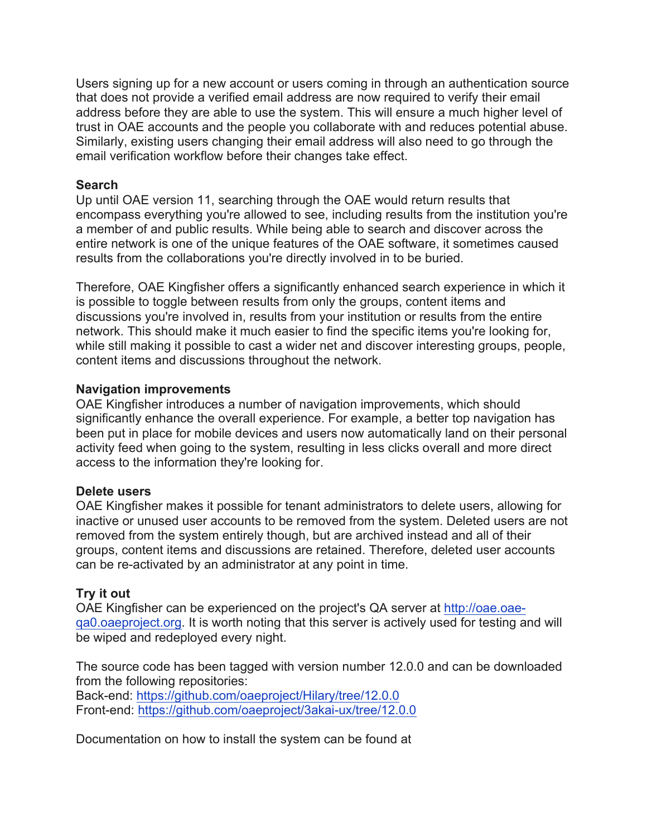Users signing up for a new account or users coming in through an authentication source that does not provide a verified email address are now required to verify their email address before they are able to use the system. This will ensure a much higher level of trust in OAE accounts and the people you collaborate with and reduces potential abuse. Similarly, existing users changing their email address will also need to go through the email verification workflow before their changes take effect.

### **Search**

Up until OAE version 11, searching through the OAE would return results that encompass everything you're allowed to see, including results from the institution you're a member of and public results. While being able to search and discover across the entire network is one of the unique features of the OAE software, it sometimes caused results from the collaborations you're directly involved in to be buried.

Therefore, OAE Kingfisher offers a significantly enhanced search experience in which it is possible to toggle between results from only the groups, content items and discussions you're involved in, results from your institution or results from the entire network. This should make it much easier to find the specific items you're looking for, while still making it possible to cast a wider net and discover interesting groups, people, content items and discussions throughout the network.

### **Navigation improvements**

OAE Kingfisher introduces a number of navigation improvements, which should significantly enhance the overall experience. For example, a better top navigation has been put in place for mobile devices and users now automatically land on their personal activity feed when going to the system, resulting in less clicks overall and more direct access to the information they're looking for.

#### **Delete users**

OAE Kingfisher makes it possible for tenant administrators to delete users, allowing for inactive or unused user accounts to be removed from the system. Deleted users are not removed from the system entirely though, but are archived instead and all of their groups, content items and discussions are retained. Therefore, deleted user accounts can be re-activated by an administrator at any point in time.

### **Try it out**

OAE Kingfisher can be experienced on the project's QA server at http://oae.oaeqa0.oaeproject.org. It is worth noting that this server is actively used for testing and will be wiped and redeployed every night.

The source code has been tagged with version number 12.0.0 and can be downloaded from the following repositories:

Back-end: https://github.com/oaeproject/Hilary/tree/12.0.0 Front-end: https://github.com/oaeproject/3akai-ux/tree/12.0.0

Documentation on how to install the system can be found at